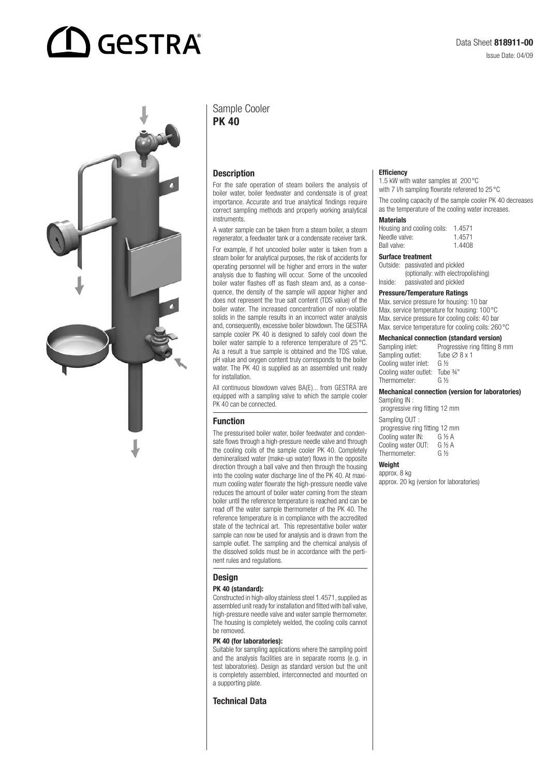# **GESTRA**



# Sample Cooler PK 40

# **Description**

For the safe operation of steam boilers the analysis of boiler water, boiler feedwater and condensate is of great importance. Accurate and true analytical findings require correct sampling methods and properly working analytical instruments.

A water sample can be taken from a steam boiler, a steam regenerator, a feedwater tank or a condensate receiver tank.

For example, if hot uncooled boiler water is taken from a steam boiler for analytical purposes, the risk of accidents for operating personnel will be higher and errors in the water analysis due to flashing will occur. Some of the uncooled boiler water flashes off as flash steam and, as a consequence, the density of the sample will appear higher and does not represent the true salt content (TDS value) of the boiler water. The increased concentration of non-volatile solids in the sample results in an incorrect water analysis and, consequently, excessive boiler blowdown. The GESTRA sample cooler PK 40 is designed to safely cool down the boiler water sample to a reference temperature of 25 °C. As a result a true sample is obtained and the TDS value, pH value and oxygen content truly corresponds to the boiler water. The PK 40 is supplied as an assembled unit ready for installation.

All continuous blowdown valves BA(E)... from GESTRA are equipped with a sampling valve to which the sample cooler PK 40 can be connected.

#### Function

The pressurised boiler water, boiler feedwater and condensate flows through a high-pressure needle valve and through the cooling coils of the sample cooler PK 40. Completely demineralised water (make-up water) flows in the opposite direction through a ball valve and then through the housing into the cooling water discharge line of the PK 40. At maximum cooling water flowrate the high-pressure needle valve reduces the amount of boiler water coming from the steam boiler until the reference temperature is reached and can be read off the water sample thermometer of the PK 40. The reference temperature is in compliance with the accredited state of the technical art. This representative boiler water sample can now be used for analysis and is drawn from the sample outlet. The sampling and the chemical analysis of the dissolved solids must be in accordance with the pertinent rules and regulations.

#### **Design**

#### PK 40 (standard):

Constructed in high-alloy stainless steel 1.4571, supplied as assembled unit ready for installation and fitted with ball valve, high-pressure needle valve and water sample thermometer. The housing is completely welded, the cooling coils cannot be removed.

#### PK 40 (for laboratories):

Suitable for sampling applications where the sampling point and the analysis facilities are in separate rooms (e.g. in test laboratories). Design as standard version but the unit is completely assembled, interconnected and mounted on a supporting plate.

# Technical Data

#### **Efficiency**

1.5 kW with water samples at 200°C with 7 I/h sampling flowrate referered to 25 °C

The cooling capacity of the sample cooler PK 40 decreases as the temperature of the cooling water increases.

#### **Materials**

| Housing and cooling coils: | 1.4571 |
|----------------------------|--------|
| Needle valve:              | 1.4571 |
| Ball valve:                | 1.4408 |

#### Surface treatment

Outside: passivated and pickled (optionally: with electropolishing) Inside: passivated and pickled

#### Pressure/Temperature Ratings

Max. service pressure for housing: 10 bar Max. service temperature for housing: 100°C Max. service pressure for cooling coils: 40 bar Max. service temperature for cooling coils: 260 °C

# **Mechanical connection (standard version)**<br>Sampling inlet: Progressive ring fitting 8

| Sampling inlet:       | Progressive ring fitting 8 mm |
|-----------------------|-------------------------------|
| Sampling outlet:      | Tube $\varnothing$ 8 x 1      |
| Cooling water inlet:  | G $\frac{1}{2}$               |
| Cooling water outlet: | Tube 3⁄4"                     |
| Thermometer:          | G 1/2                         |
|                       |                               |

#### Mechanical connection (version for laboratories) Sampling IN

 progressive ring fitting 12 mm Sampling OUT : progressive ring fitting 12 mm Cooling water IN: G ½ A

Cooling water OUT:  $G \frac{1}{2} A$ <br>Thermometer:  $G \frac{1}{2}$ Thermometer:

#### Weight

approx. 8 kg approx. 20 kg (version for laboratories)